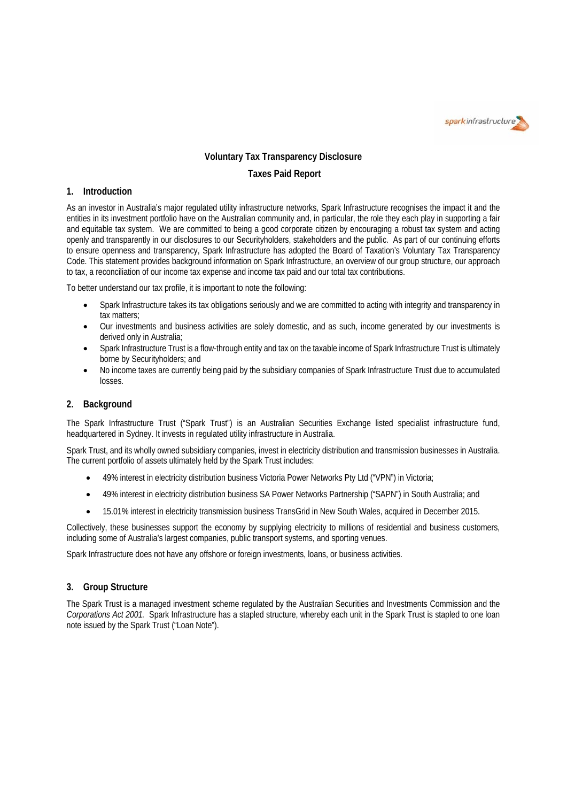

# **Voluntary Tax Transparency Disclosure**

# **Taxes Paid Report**

#### **1. Introduction**

As an investor in Australia's major regulated utility infrastructure networks, Spark Infrastructure recognises the impact it and the entities in its investment portfolio have on the Australian community and, in particular, the role they each play in supporting a fair and equitable tax system. We are committed to being a good corporate citizen by encouraging a robust tax system and acting openly and transparently in our disclosures to our Securityholders, stakeholders and the public. As part of our continuing efforts to ensure openness and transparency, Spark Infrastructure has adopted the Board of Taxation's Voluntary Tax Transparency Code. This statement provides background information on Spark Infrastructure, an overview of our group structure, our approach to tax, a reconciliation of our income tax expense and income tax paid and our total tax contributions.

To better understand our tax profile, it is important to note the following:

- Spark Infrastructure takes its tax obligations seriously and we are committed to acting with integrity and transparency in tax matters;
- Our investments and business activities are solely domestic, and as such, income generated by our investments is derived only in Australia;
- Spark Infrastructure Trust is a flow-through entity and tax on the taxable income of Spark Infrastructure Trust is ultimately borne by Securityholders; and
- No income taxes are currently being paid by the subsidiary companies of Spark Infrastructure Trust due to accumulated losses.

### **2. Background**

The Spark Infrastructure Trust ("Spark Trust") is an Australian Securities Exchange listed specialist infrastructure fund, headquartered in Sydney. It invests in regulated utility infrastructure in Australia.

Spark Trust, and its wholly owned subsidiary companies, invest in electricity distribution and transmission businesses in Australia. The current portfolio of assets ultimately held by the Spark Trust includes:

- 49% interest in electricity distribution business Victoria Power Networks Pty Ltd ("VPN") in Victoria;
- 49% interest in electricity distribution business SA Power Networks Partnership ("SAPN") in South Australia; and
- 15.01% interest in electricity transmission business TransGrid in New South Wales, acquired in December 2015.

Collectively, these businesses support the economy by supplying electricity to millions of residential and business customers, including some of Australia's largest companies, public transport systems, and sporting venues.

Spark Infrastructure does not have any offshore or foreign investments, loans, or business activities.

#### **3. Group Structure**

The Spark Trust is a managed investment scheme regulated by the Australian Securities and Investments Commission and the *Corporations Act 2001.* Spark Infrastructure has a stapled structure, whereby each unit in the Spark Trust is stapled to one loan note issued by the Spark Trust ("Loan Note").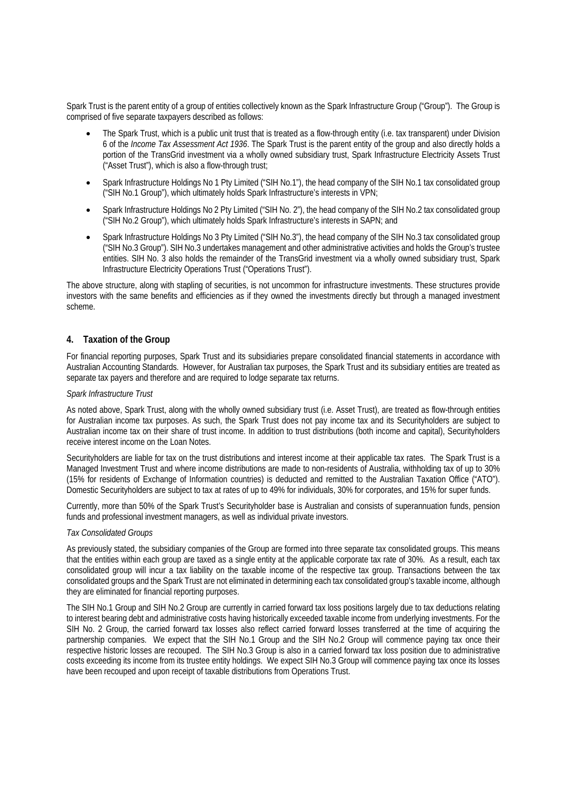Spark Trust is the parent entity of a group of entities collectively known as the Spark Infrastructure Group ("Group"). The Group is comprised of five separate taxpayers described as follows:

- The Spark Trust, which is a public unit trust that is treated as a flow-through entity (i.e. tax transparent) under Division 6 of the *Income Tax Assessment Act 1936*. The Spark Trust is the parent entity of the group and also directly holds a portion of the TransGrid investment via a wholly owned subsidiary trust, Spark Infrastructure Electricity Assets Trust ("Asset Trust"), which is also a flow-through trust;
- Spark Infrastructure Holdings No 1 Pty Limited ("SIH No.1"), the head company of the SIH No.1 tax consolidated group ("SIH No.1 Group"), which ultimately holds Spark Infrastructure's interests in VPN;
- Spark Infrastructure Holdings No 2 Pty Limited ("SIH No. 2"), the head company of the SIH No.2 tax consolidated group ("SIH No.2 Group"), which ultimately holds Spark Infrastructure's interests in SAPN; and
- Spark Infrastructure Holdings No 3 Pty Limited ("SIH No.3"), the head company of the SIH No.3 tax consolidated group ("SIH No.3 Group"). SIH No.3 undertakes management and other administrative activities and holds the Group's trustee entities. SIH No. 3 also holds the remainder of the TransGrid investment via a wholly owned subsidiary trust, Spark Infrastructure Electricity Operations Trust ("Operations Trust").

The above structure, along with stapling of securities, is not uncommon for infrastructure investments. These structures provide investors with the same benefits and efficiencies as if they owned the investments directly but through a managed investment scheme.

#### **4. Taxation of the Group**

For financial reporting purposes, Spark Trust and its subsidiaries prepare consolidated financial statements in accordance with Australian Accounting Standards. However, for Australian tax purposes, the Spark Trust and its subsidiary entities are treated as separate tax payers and therefore and are required to lodge separate tax returns.

#### *Spark Infrastructure Trust*

As noted above, Spark Trust, along with the wholly owned subsidiary trust (i.e. Asset Trust), are treated as flow-through entities for Australian income tax purposes. As such, the Spark Trust does not pay income tax and its Securityholders are subject to Australian income tax on their share of trust income. In addition to trust distributions (both income and capital), Securityholders receive interest income on the Loan Notes.

Securityholders are liable for tax on the trust distributions and interest income at their applicable tax rates. The Spark Trust is a Managed Investment Trust and where income distributions are made to non-residents of Australia, withholding tax of up to 30% (15% for residents of Exchange of Information countries) is deducted and remitted to the Australian Taxation Office ("ATO"). Domestic Securityholders are subject to tax at rates of up to 49% for individuals, 30% for corporates, and 15% for super funds.

Currently, more than 50% of the Spark Trust's Securityholder base is Australian and consists of superannuation funds, pension funds and professional investment managers, as well as individual private investors.

#### *Tax Consolidated Groups*

As previously stated, the subsidiary companies of the Group are formed into three separate tax consolidated groups. This means that the entities within each group are taxed as a single entity at the applicable corporate tax rate of 30%. As a result, each tax consolidated group will incur a tax liability on the taxable income of the respective tax group. Transactions between the tax consolidated groups and the Spark Trust are not eliminated in determining each tax consolidated group's taxable income, although they are eliminated for financial reporting purposes.

The SIH No.1 Group and SIH No.2 Group are currently in carried forward tax loss positions largely due to tax deductions relating to interest bearing debt and administrative costs having historically exceeded taxable income from underlying investments. For the SIH No. 2 Group, the carried forward tax losses also reflect carried forward losses transferred at the time of acquiring the partnership companies. We expect that the SIH No.1 Group and the SIH No.2 Group will commence paying tax once their respective historic losses are recouped. The SIH No.3 Group is also in a carried forward tax loss position due to administrative costs exceeding its income from its trustee entity holdings. We expect SIH No.3 Group will commence paying tax once its losses have been recouped and upon receipt of taxable distributions from Operations Trust.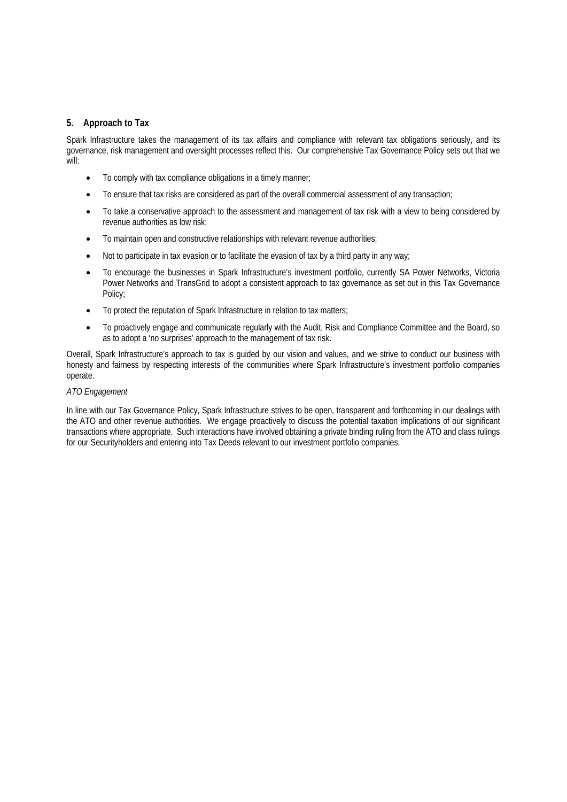### **5. Approach to Tax**

Spark Infrastructure takes the management of its tax affairs and compliance with relevant tax obligations seriously, and its governance, risk management and oversight processes reflect this. Our comprehensive Tax Governance Policy sets out that we will:

- To comply with tax compliance obligations in a timely manner;
- To ensure that tax risks are considered as part of the overall commercial assessment of any transaction;
- To take a conservative approach to the assessment and management of tax risk with a view to being considered by revenue authorities as low risk;
- To maintain open and constructive relationships with relevant revenue authorities;
- Not to participate in tax evasion or to facilitate the evasion of tax by a third party in any way;
- To encourage the businesses in Spark Infrastructure's investment portfolio, currently SA Power Networks, Victoria Power Networks and TransGrid to adopt a consistent approach to tax governance as set out in this Tax Governance Policy;
- To protect the reputation of Spark Infrastructure in relation to tax matters;
- To proactively engage and communicate regularly with the Audit, Risk and Compliance Committee and the Board, so as to adopt a 'no surprises' approach to the management of tax risk.

Overall, Spark Infrastructure's approach to tax is guided by our vision and values, and we strive to conduct our business with honesty and fairness by respecting interests of the communities where Spark Infrastructure's investment portfolio companies operate.

#### *ATO Engagement*

In line with our Tax Governance Policy, Spark Infrastructure strives to be open, transparent and forthcoming in our dealings with the ATO and other revenue authorities. We engage proactively to discuss the potential taxation implications of our significant transactions where appropriate. Such interactions have involved obtaining a private binding ruling from the ATO and class rulings for our Securityholders and entering into Tax Deeds relevant to our investment portfolio companies.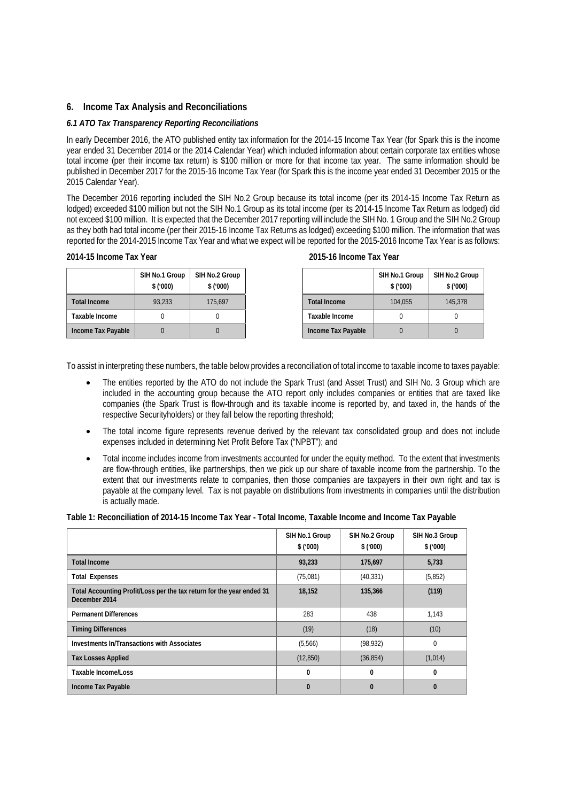### **6. Income Tax Analysis and Reconciliations**

### *6.1 ATO Tax Transparency Reporting Reconciliations*

In early December 2016, the ATO published entity tax information for the 2014-15 Income Tax Year (for Spark this is the income year ended 31 December 2014 or the 2014 Calendar Year) which included information about certain corporate tax entities whose total income (per their income tax return) is \$100 million or more for that income tax year. The same information should be published in December 2017 for the 2015-16 Income Tax Year (for Spark this is the income year ended 31 December 2015 or the 2015 Calendar Year).

The December 2016 reporting included the SIH No.2 Group because its total income (per its 2014-15 Income Tax Return as lodged) exceeded \$100 million but not the SIH No.1 Group as its total income (per its 2014-15 Income Tax Return as lodged) did not exceed \$100 million. It is expected that the December 2017 reporting will include the SIH No. 1 Group and the SIH No.2 Group as they both had total income (per their 2015-16 Income Tax Returns as lodged) exceeding \$100 million. The information that was reported for the 2014-2015 Income Tax Year and what we expect will be reported for the 2015-2016 Income Tax Year is as follows:

| SIH No.1 Group<br>\$('000) | SIH No.2 Group<br>\$(000) |
|----------------------------|---------------------------|
| 93.233                     | 175.697                   |
|                            |                           |
|                            |                           |

#### **2014-15 Income Tax Year 2015-16 Income Tax Year**

|                     | SIH No.1 Group<br>\$('000) | SIH No.2 Group<br>\$('000) |
|---------------------|----------------------------|----------------------------|
| <b>Total Income</b> | 104.055                    | 145,378                    |
| Taxable Income      |                            |                            |
| Income Tax Payable  |                            |                            |

To assist in interpreting these numbers, the table below provides a reconciliation of total income to taxable income to taxes payable:

- The entities reported by the ATO do not include the Spark Trust (and Asset Trust) and SIH No. 3 Group which are included in the accounting group because the ATO report only includes companies or entities that are taxed like companies (the Spark Trust is flow-through and its taxable income is reported by, and taxed in, the hands of the respective Securityholders) or they fall below the reporting threshold;
- The total income figure represents revenue derived by the relevant tax consolidated group and does not include expenses included in determining Net Profit Before Tax ("NPBT"); and
- Total income includes income from investments accounted for under the equity method. To the extent that investments are flow-through entities, like partnerships, then we pick up our share of taxable income from the partnership. To the extent that our investments relate to companies, then those companies are taxpayers in their own right and tax is payable at the company level. Tax is not payable on distributions from investments in companies until the distribution is actually made.

**Table 1: Reconciliation of 2014-15 Income Tax Year - Total Income, Taxable Income and Income Tax Payable** 

|                                                                                        | SIH No.1 Group<br>\$(000) | SIH No.2 Group<br>\$(000) | SIH No.3 Group<br>\$('000) |
|----------------------------------------------------------------------------------------|---------------------------|---------------------------|----------------------------|
| <b>Total Income</b>                                                                    | 93,233                    | 175,697                   | 5,733                      |
| <b>Total Expenses</b>                                                                  | (75,081)                  | (40, 331)                 | (5,852)                    |
| Total Accounting Profit/Loss per the tax return for the year ended 31<br>December 2014 | 18.152                    | 135,366                   | (119)                      |
| <b>Permanent Differences</b>                                                           | 283                       | 438                       | 1,143                      |
| <b>Timing Differences</b>                                                              | (19)                      | (18)                      | (10)                       |
| Investments In/Transactions with Associates                                            | (5,566)                   | (98, 932)                 | $\Omega$                   |
| <b>Tax Losses Applied</b>                                                              | (12, 850)                 | (36, 854)                 | (1,014)                    |
| Taxable Income/Loss                                                                    | $\mathbf{0}$              | 0                         | $\mathbf{0}$               |
| Income Tax Payable                                                                     | ſ                         | $\Omega$                  | $\Omega$                   |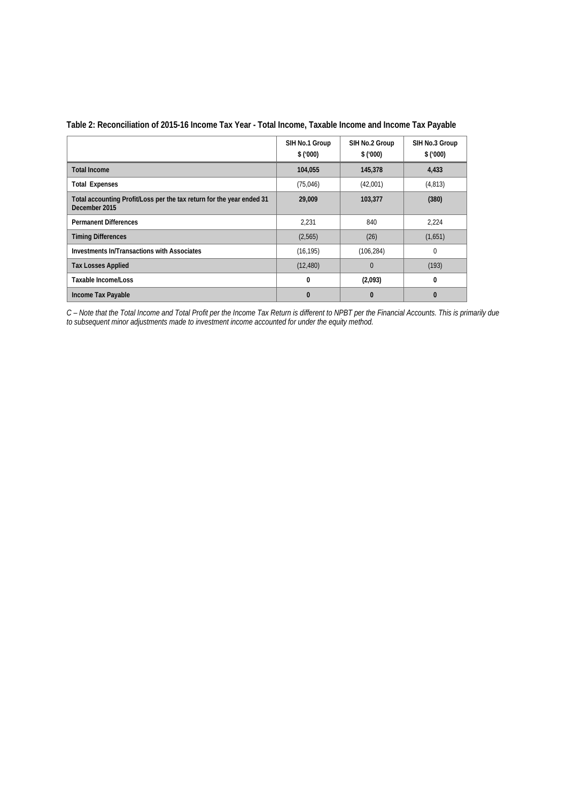|                                                                                        | SIH No.1 Group<br>\$('000) | SIH No.2 Group<br>\$(000) | SIH No.3 Group<br>\$(000) |
|----------------------------------------------------------------------------------------|----------------------------|---------------------------|---------------------------|
| <b>Total Income</b>                                                                    | 104,055                    | 145,378                   | 4,433                     |
| <b>Total Expenses</b>                                                                  | (75,046)                   | (42,001)                  | (4, 813)                  |
| Total accounting Profit/Loss per the tax return for the year ended 31<br>December 2015 | 29,009                     | 103,377                   | (380)                     |
| <b>Permanent Differences</b>                                                           | 2,231                      | 840                       | 2,224                     |
| <b>Timing Differences</b>                                                              | (2,565)                    | (26)                      | (1,651)                   |
| Investments In/Transactions with Associates                                            | (16, 195)                  | (106, 284)                | $\Omega$                  |
| <b>Tax Losses Applied</b>                                                              | (12, 480)                  | $\Omega$                  | (193)                     |
| Taxable Income/Loss                                                                    | 0                          | (2,093)                   | 0                         |
| Income Tax Payable                                                                     | 0                          | $\Omega$                  | $\bf{0}$                  |

# **Table 2: Reconciliation of 2015-16 Income Tax Year - Total Income, Taxable Income and Income Tax Payable**

*C – Note that the Total Income and Total Profit per the Income Tax Return is different to NPBT per the Financial Accounts. This is primarily due to subsequent minor adjustments made to investment income accounted for under the equity method.*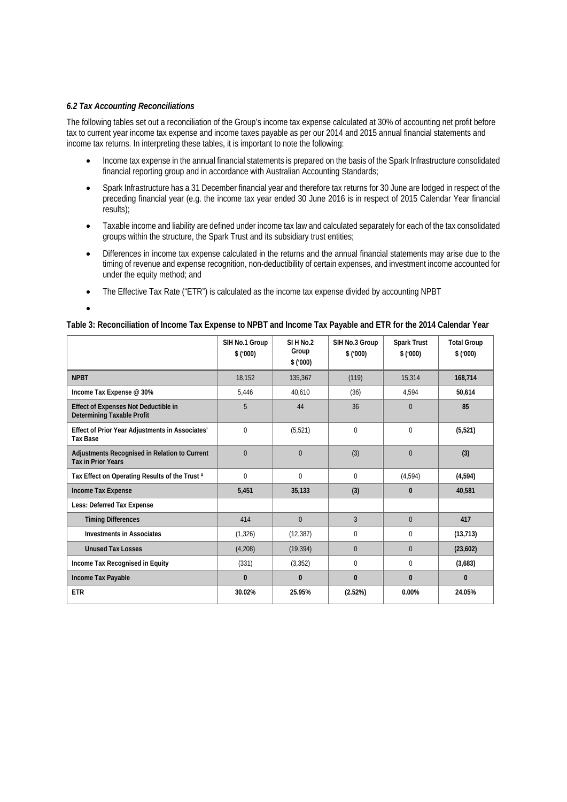### *6.2 Tax Accounting Reconciliations*

The following tables set out a reconciliation of the Group's income tax expense calculated at 30% of accounting net profit before tax to current year income tax expense and income taxes payable as per our 2014 and 2015 annual financial statements and income tax returns. In interpreting these tables, it is important to note the following:

- Income tax expense in the annual financial statements is prepared on the basis of the Spark Infrastructure consolidated financial reporting group and in accordance with Australian Accounting Standards;
- Spark Infrastructure has a 31 December financial year and therefore tax returns for 30 June are lodged in respect of the preceding financial year (e.g. the income tax year ended 30 June 2016 is in respect of 2015 Calendar Year financial results);
- Taxable income and liability are defined under income tax law and calculated separately for each of the tax consolidated groups within the structure, the Spark Trust and its subsidiary trust entities;
- Differences in income tax expense calculated in the returns and the annual financial statements may arise due to the timing of revenue and expense recognition, non-deductibility of certain expenses, and investment income accounted for under the equity method; and
- The Effective Tax Rate ("ETR") is calculated as the income tax expense divided by accounting NPBT

 $\bullet$ 

# **Table 3: Reconciliation of Income Tax Expense to NPBT and Income Tax Payable and ETR for the 2014 Calendar Year**

|                                                                            | SIH No.1 Group<br>\$(000) | SIHN <sub>0.2</sub><br>Group<br>\$(000) | SIH No.3 Group<br>\$(000) | <b>Spark Trust</b><br>\$(000) | <b>Total Group</b><br>\$(000) |
|----------------------------------------------------------------------------|---------------------------|-----------------------------------------|---------------------------|-------------------------------|-------------------------------|
| <b>NPBT</b>                                                                | 18,152                    | 135,367                                 | (119)                     | 15,314                        | 168,714                       |
| Income Tax Expense @ 30%                                                   | 5,446                     | 40,610                                  | (36)                      | 4,594                         | 50,614                        |
| Effect of Expenses Not Deductible in<br><b>Determining Taxable Profit</b>  | 5                         | 44                                      | 36                        | $\mathbf{0}$                  | 85                            |
| Effect of Prior Year Adjustments in Associates'<br><b>Tax Base</b>         | $\theta$                  | (5, 521)                                | $\Omega$                  | $\theta$                      | (5, 521)                      |
| Adjustments Recognised in Relation to Current<br><b>Tax in Prior Years</b> | $\Omega$                  | $\Omega$                                | (3)                       | $\theta$                      | (3)                           |
| Tax Effect on Operating Results of the Trust A                             | $\Omega$                  | $\Omega$                                | $\Omega$                  | (4,594)                       | (4,594)                       |
| Income Tax Expense                                                         | 5,451                     | 35,133                                  | (3)                       | $\mathbf{0}$                  | 40,581                        |
| Less: Deferred Tax Expense                                                 |                           |                                         |                           |                               |                               |
| <b>Timing Differences</b>                                                  | 414                       | $\Omega$                                | 3                         | $\Omega$                      | 417                           |
| <b>Investments in Associates</b>                                           | (1, 326)                  | (12, 387)                               | 0                         | $\mathbf 0$                   | (13, 713)                     |
| <b>Unused Tax Losses</b>                                                   | (4,208)                   | (19, 394)                               | $\Omega$                  | $\Omega$                      | (23,602)                      |
| Income Tax Recognised in Equity                                            | (331)                     | (3, 352)                                | 0                         | $\mathbf 0$                   | (3,683)                       |
| Income Tax Payable                                                         | $\mathbf{0}$              | 0                                       | $\bf{0}$                  | $\mathbf{0}$                  | $\mathbf{0}$                  |
| <b>ETR</b>                                                                 | 30.02%                    | 25.95%                                  | (2.52%)                   | 0.00%                         | 24.05%                        |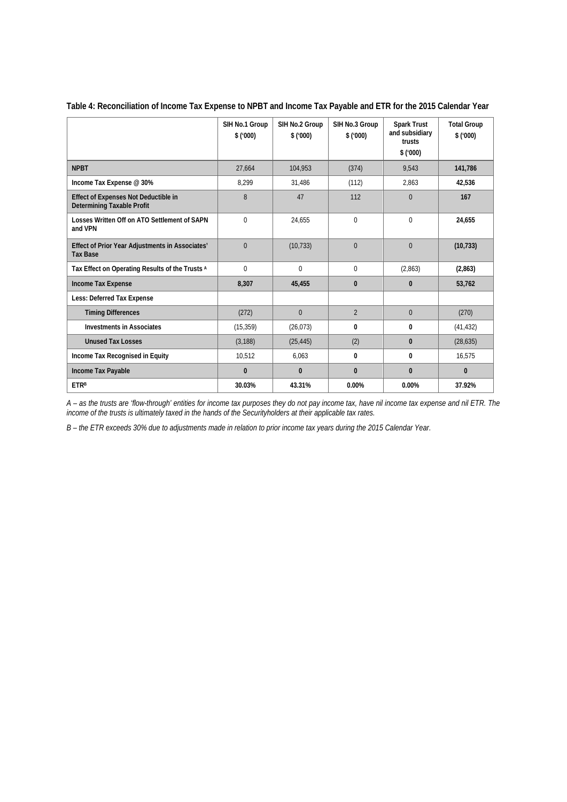|                                                                           | SIH No.1 Group<br>\$(000) | SIH No.2 Group<br>\$(000) | SIH No.3 Group<br>\$(000) | <b>Spark Trust</b><br>and subsidiary<br>trusts<br>\$(000) | <b>Total Group</b><br>\$(000) |
|---------------------------------------------------------------------------|---------------------------|---------------------------|---------------------------|-----------------------------------------------------------|-------------------------------|
| <b>NPBT</b>                                                               | 27,664                    | 104,953                   | (374)                     | 9,543                                                     | 141,786                       |
| Income Tax Expense @ 30%                                                  | 8,299                     | 31,486                    | (112)                     | 2,863                                                     | 42,536                        |
| Effect of Expenses Not Deductible in<br><b>Determining Taxable Profit</b> | 8                         | 47                        | 112                       | $\overline{0}$                                            | 167                           |
| Losses Written Off on ATO Settlement of SAPN<br>and VPN                   | $\Omega$                  | 24,655                    | $\theta$                  | $\mathbf{0}$                                              | 24,655                        |
| Effect of Prior Year Adjustments in Associates'<br><b>Tax Base</b>        | $\overline{0}$            | (10, 733)                 | $\Omega$                  | $\overline{0}$                                            | (10, 733)                     |
| Tax Effect on Operating Results of the Trusts A                           | $\Omega$                  | $\Omega$                  | $\Omega$                  | (2,863)                                                   | (2,863)                       |
| Income Tax Expense                                                        | 8,307                     | 45,455                    | $\mathbf{0}$              | $\mathbf{0}$                                              | 53,762                        |
| Less: Deferred Tax Expense                                                |                           |                           |                           |                                                           |                               |
| <b>Timing Differences</b>                                                 | (272)                     | $\Omega$                  | $\overline{2}$            | $\Omega$                                                  | (270)                         |
| <b>Investments in Associates</b>                                          | (15, 359)                 | (26, 073)                 | $\mathbf{0}$              | $\mathbf{0}$                                              | (41, 432)                     |
| <b>Unused Tax Losses</b>                                                  | (3, 188)                  | (25, 445)                 | (2)                       | $\mathbf{0}$                                              | (28, 635)                     |
| Income Tax Recognised in Equity                                           | 10,512                    | 6,063                     | $\mathbf{0}$              | $\mathbf{0}$                                              | 16,575                        |
| Income Tax Payable                                                        | $\mathbf{0}$              | $\mathbf{0}$              | $\mathbf{0}$              | $\mathbf{0}$                                              | $\mathbf{0}$                  |
| <b>ETRB</b>                                                               | 30.03%                    | 43.31%                    | 0.00%                     | 0.00%                                                     | 37.92%                        |

# **Table 4: Reconciliation of Income Tax Expense to NPBT and Income Tax Payable and ETR for the 2015 Calendar Year**

*A – as the trusts are 'flow-through' entities for income tax purposes they do not pay income tax, have nil income tax expense and nil ETR. The income of the trusts is ultimately taxed in the hands of the Securityholders at their applicable tax rates.* 

*B – the ETR exceeds 30% due to adjustments made in relation to prior income tax years during the 2015 Calendar Year.*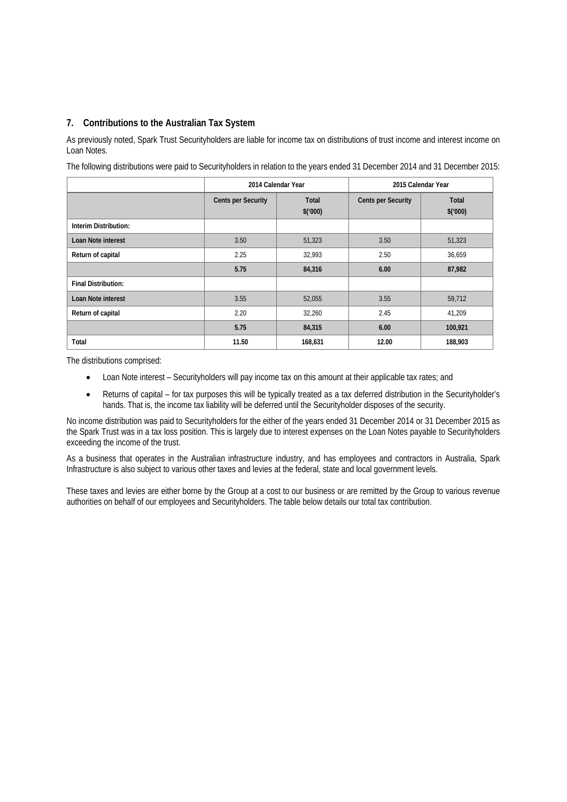# **7. Contributions to the Australian Tax System**

As previously noted, Spark Trust Securityholders are liable for income tax on distributions of trust income and interest income on Loan Notes.

The following distributions were paid to Securityholders in relation to the years ended 31 December 2014 and 31 December 2015:

|                            |                           | 2014 Calendar Year      | 2015 Calendar Year        |                         |  |
|----------------------------|---------------------------|-------------------------|---------------------------|-------------------------|--|
|                            | <b>Cents per Security</b> | <b>Total</b><br>\$(000) | <b>Cents per Security</b> | <b>Total</b><br>\$(000) |  |
| Interim Distribution:      |                           |                         |                           |                         |  |
| Loan Note interest         | 3.50                      | 51,323                  | 3.50                      | 51,323                  |  |
| Return of capital          | 2.25                      | 32,993                  | 2.50                      | 36,659                  |  |
|                            | 5.75                      | 84,316                  | 6.00                      | 87,982                  |  |
| <b>Final Distribution:</b> |                           |                         |                           |                         |  |
| <b>Loan Note interest</b>  | 3.55                      | 52,055                  | 3.55                      | 59,712                  |  |
| Return of capital          | 2.20                      | 32,260                  | 2.45                      | 41,209                  |  |
|                            | 5.75                      | 84,315                  | 6.00                      | 100,921                 |  |
| Total                      | 11.50                     | 168,631                 | 12.00                     | 188,903                 |  |

The distributions comprised:

- Loan Note interest Securityholders will pay income tax on this amount at their applicable tax rates; and
- Returns of capital for tax purposes this will be typically treated as a tax deferred distribution in the Securityholder's hands. That is, the income tax liability will be deferred until the Securityholder disposes of the security.

No income distribution was paid to Securityholders for the either of the years ended 31 December 2014 or 31 December 2015 as the Spark Trust was in a tax loss position. This is largely due to interest expenses on the Loan Notes payable to Securityholders exceeding the income of the trust.

As a business that operates in the Australian infrastructure industry, and has employees and contractors in Australia, Spark Infrastructure is also subject to various other taxes and levies at the federal, state and local government levels.

These taxes and levies are either borne by the Group at a cost to our business or are remitted by the Group to various revenue authorities on behalf of our employees and Securityholders. The table below details our total tax contribution.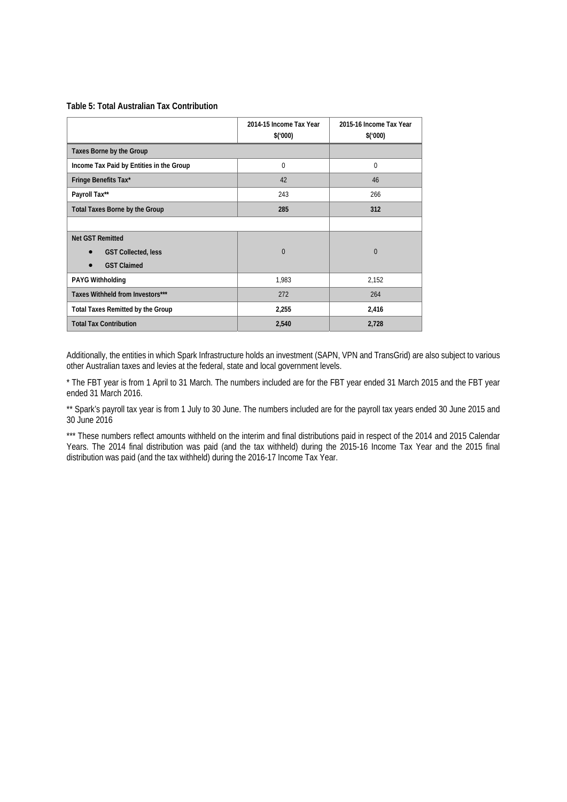#### **Table 5: Total Australian Tax Contribution**

|                                          | 2014-15 Income Tax Year<br>\$(000) | 2015-16 Income Tax Year<br>\$(000) |
|------------------------------------------|------------------------------------|------------------------------------|
| Taxes Borne by the Group                 |                                    |                                    |
| Income Tax Paid by Entities in the Group | 0                                  | $\Omega$                           |
| Fringe Benefits Tax*                     | 42                                 | 46                                 |
| Payroll Tax**                            | 243                                | 266                                |
| <b>Total Taxes Borne by the Group</b>    | 285                                | 312                                |
|                                          |                                    |                                    |
| <b>Net GST Remitted</b>                  |                                    |                                    |
| <b>GST Collected, less</b>               | $\Omega$                           | $\Omega$                           |
| <b>GST Claimed</b>                       |                                    |                                    |
| <b>PAYG Withholding</b>                  | 1,983                              | 2,152                              |
| Taxes Withheld from Investors***         | 272                                | 264                                |
| <b>Total Taxes Remitted by the Group</b> | 2,255                              | 2,416                              |
| <b>Total Tax Contribution</b>            | 2,540                              | 2,728                              |

Additionally, the entities in which Spark Infrastructure holds an investment (SAPN, VPN and TransGrid) are also subject to various other Australian taxes and levies at the federal, state and local government levels.

\* The FBT year is from 1 April to 31 March. The numbers included are for the FBT year ended 31 March 2015 and the FBT year ended 31 March 2016.

\*\* Spark's payroll tax year is from 1 July to 30 June. The numbers included are for the payroll tax years ended 30 June 2015 and 30 June 2016

\*\*\* These numbers reflect amounts withheld on the interim and final distributions paid in respect of the 2014 and 2015 Calendar Years. The 2014 final distribution was paid (and the tax withheld) during the 2015-16 Income Tax Year and the 2015 final distribution was paid (and the tax withheld) during the 2016-17 Income Tax Year.